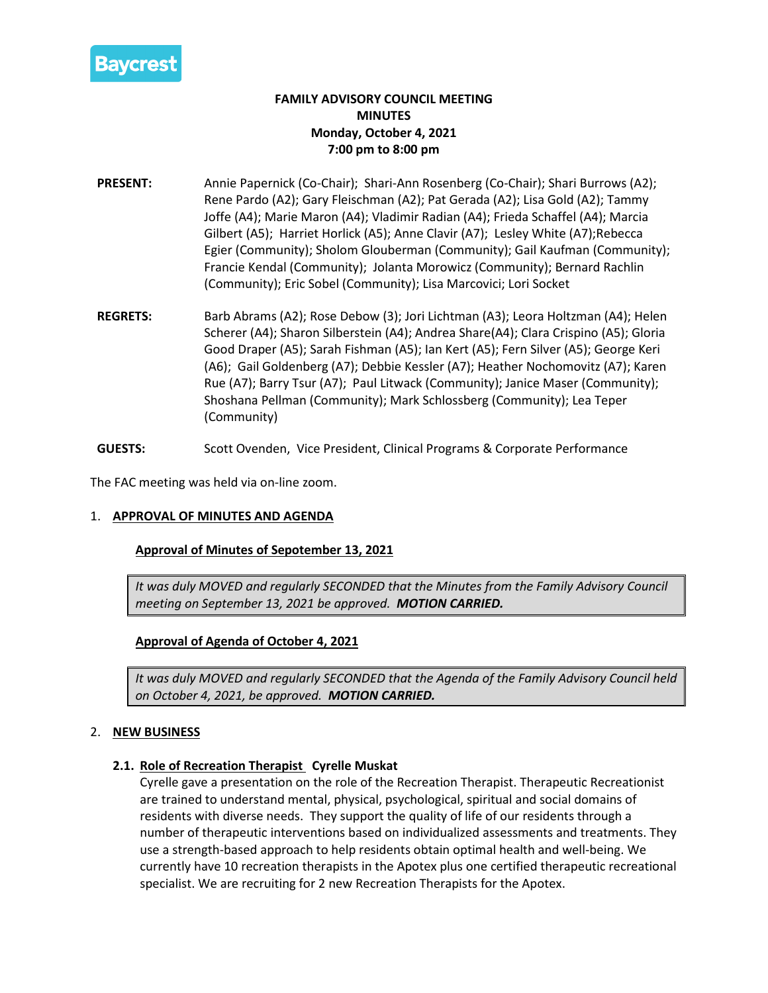

# **FAMILY ADVISORY COUNCIL MEETING MINUTES Monday, October 4, 2021 7:00 pm to 8:00 pm**

- **PRESENT:** Annie Papernick (Co-Chair); Shari-Ann Rosenberg (Co-Chair); Shari Burrows (A2); Rene Pardo (A2); Gary Fleischman (A2); Pat Gerada (A2); Lisa Gold (A2); Tammy Joffe (A4); Marie Maron (A4); Vladimir Radian (A4); Frieda Schaffel (A4); Marcia Gilbert (A5); Harriet Horlick (A5); Anne Clavir (A7); Lesley White (A7);Rebecca Egier (Community); Sholom Glouberman (Community); Gail Kaufman (Community); Francie Kendal (Community); Jolanta Morowicz (Community); Bernard Rachlin (Community); Eric Sobel (Community); Lisa Marcovici; Lori Socket
- **REGRETS:** Barb Abrams (A2); Rose Debow (3); Jori Lichtman (A3); Leora Holtzman (A4); Helen Scherer (A4); Sharon Silberstein (A4); Andrea Share(A4); Clara Crispino (A5); Gloria Good Draper (A5); Sarah Fishman (A5); Ian Kert (A5); Fern Silver (A5); George Keri (A6); Gail Goldenberg (A7); Debbie Kessler (A7); Heather Nochomovitz (A7); Karen Rue (A7); Barry Tsur (A7); Paul Litwack (Community); Janice Maser (Community); Shoshana Pellman (Community); Mark Schlossberg (Community); Lea Teper (Community)
- **GUESTS:** Scott Ovenden, Vice President, Clinical Programs & Corporate Performance

The FAC meeting was held via on-line zoom.

## 1. **APPROVAL OF MINUTES AND AGENDA**

#### **Approval of Minutes of Sepotember 13, 2021**

*It was duly MOVED and regularly SECONDED that the Minutes from the Family Advisory Council meeting on September 13, 2021 be approved. MOTION CARRIED.*

## **Approval of Agenda of October 4, 2021**

*It was duly MOVED and regularly SECONDED that the Agenda of the Family Advisory Council held on October 4, 2021, be approved. MOTION CARRIED.*

## 2. **NEW BUSINESS**

#### **2.1. Role of Recreation Therapist Cyrelle Muskat**

Cyrelle gave a presentation on the role of the Recreation Therapist. Therapeutic Recreationist are trained to understand mental, physical, psychological, spiritual and social domains of residents with diverse needs. They support the quality of life of our residents through a number of therapeutic interventions based on individualized assessments and treatments. They use a strength-based approach to help residents obtain optimal health and well-being. We currently have 10 recreation therapists in the Apotex plus one certified therapeutic recreational specialist. We are recruiting for 2 new Recreation Therapists for the Apotex.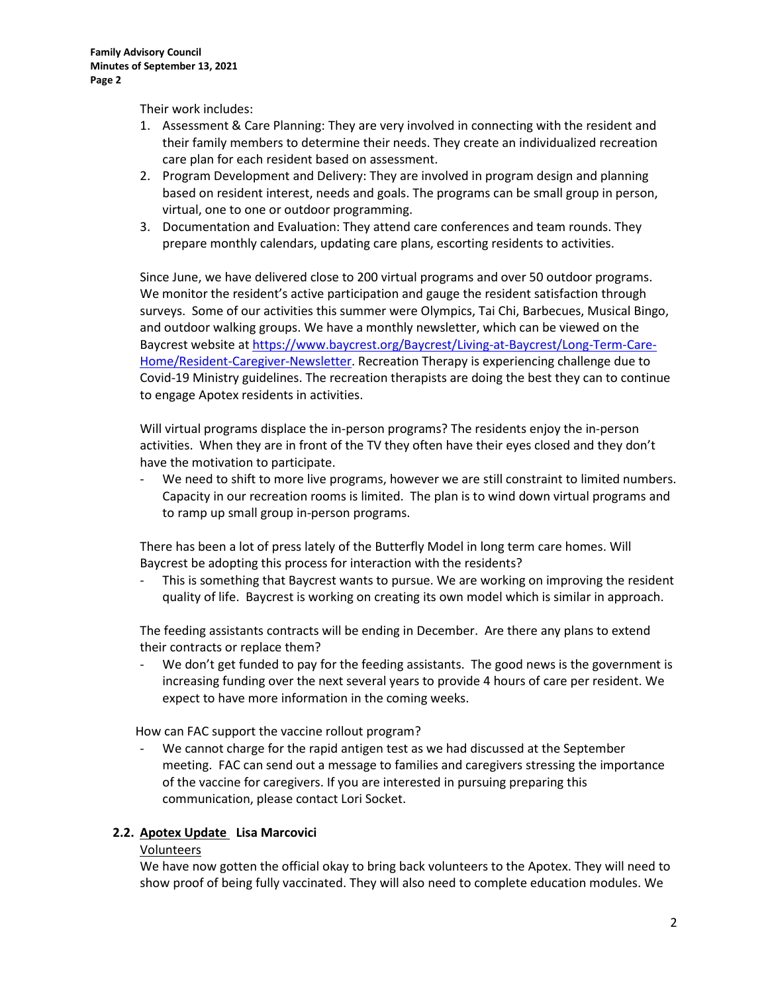Their work includes:

- 1. Assessment & Care Planning: They are very involved in connecting with the resident and their family members to determine their needs. They create an individualized recreation care plan for each resident based on assessment.
- 2. Program Development and Delivery: They are involved in program design and planning based on resident interest, needs and goals. The programs can be small group in person, virtual, one to one or outdoor programming.
- 3. Documentation and Evaluation: They attend care conferences and team rounds. They prepare monthly calendars, updating care plans, escorting residents to activities.

Since June, we have delivered close to 200 virtual programs and over 50 outdoor programs. We monitor the resident's active participation and gauge the resident satisfaction through surveys. Some of our activities this summer were Olympics, Tai Chi, Barbecues, Musical Bingo, and outdoor walking groups. We have a monthly newsletter, which can be viewed on the Baycrest website at [https://www.baycrest.org/Baycrest/Living-at-Baycrest/Long-Term-Care-](https://www.baycrest.org/Baycrest/Living-at-Baycrest/Long-Term-Care-Home/Resident-Caregiver-Newsletter)[Home/Resident-Caregiver-Newsletter.](https://www.baycrest.org/Baycrest/Living-at-Baycrest/Long-Term-Care-Home/Resident-Caregiver-Newsletter) Recreation Therapy is experiencing challenge due to Covid-19 Ministry guidelines. The recreation therapists are doing the best they can to continue to engage Apotex residents in activities.

Will virtual programs displace the in-person programs? The residents enjoy the in-person activities. When they are in front of the TV they often have their eyes closed and they don't have the motivation to participate.

We need to shift to more live programs, however we are still constraint to limited numbers. Capacity in our recreation rooms is limited. The plan is to wind down virtual programs and to ramp up small group in-person programs.

There has been a lot of press lately of the Butterfly Model in long term care homes. Will Baycrest be adopting this process for interaction with the residents?

This is something that Baycrest wants to pursue. We are working on improving the resident quality of life. Baycrest is working on creating its own model which is similar in approach.

The feeding assistants contracts will be ending in December. Are there any plans to extend their contracts or replace them?

We don't get funded to pay for the feeding assistants. The good news is the government is increasing funding over the next several years to provide 4 hours of care per resident. We expect to have more information in the coming weeks.

How can FAC support the vaccine rollout program?

We cannot charge for the rapid antigen test as we had discussed at the September meeting. FAC can send out a message to families and caregivers stressing the importance of the vaccine for caregivers. If you are interested in pursuing preparing this communication, please contact Lori Socket.

## **2.2. Apotex Update Lisa Marcovici**

#### Volunteers

We have now gotten the official okay to bring back volunteers to the Apotex. They will need to show proof of being fully vaccinated. They will also need to complete education modules. We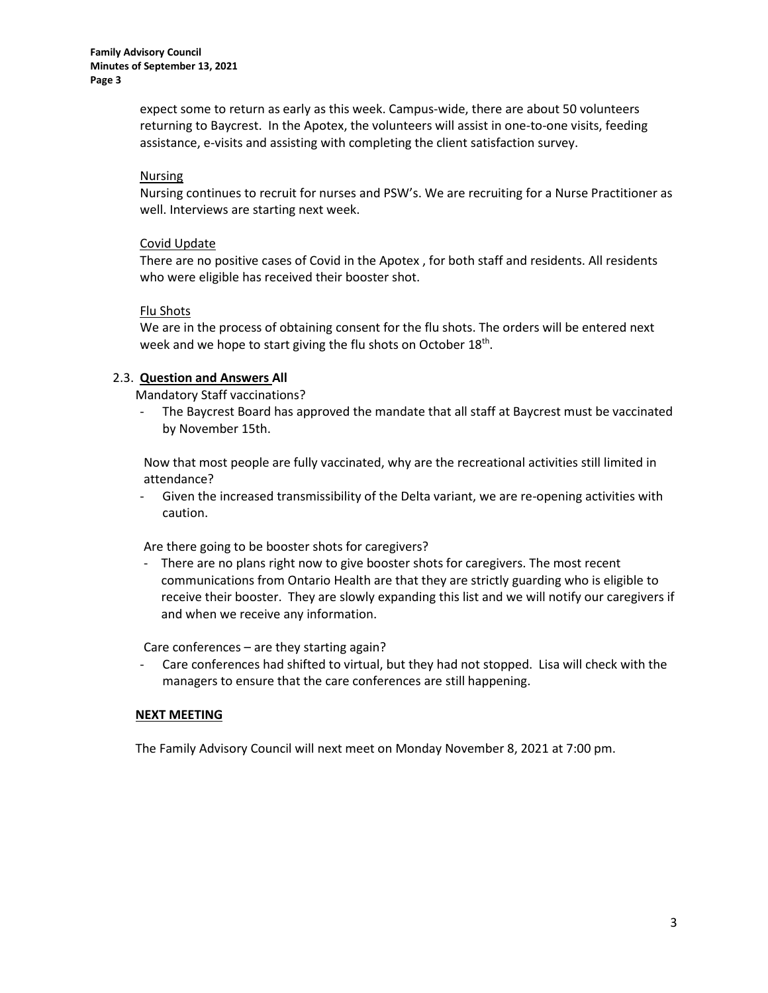**Family Advisory Council Minutes of September 13, 2021 Page 3**

> expect some to return as early as this week. Campus-wide, there are about 50 volunteers returning to Baycrest. In the Apotex, the volunteers will assist in one-to-one visits, feeding assistance, e-visits and assisting with completing the client satisfaction survey.

### Nursing

Nursing continues to recruit for nurses and PSW's. We are recruiting for a Nurse Practitioner as well. Interviews are starting next week.

#### Covid Update

There are no positive cases of Covid in the Apotex , for both staff and residents. All residents who were eligible has received their booster shot.

#### Flu Shots

We are in the process of obtaining consent for the flu shots. The orders will be entered next week and we hope to start giving the flu shots on October 18<sup>th</sup>.

#### 2.3. **Question and Answers All**

Mandatory Staff vaccinations?

The Baycrest Board has approved the mandate that all staff at Baycrest must be vaccinated by November 15th.

Now that most people are fully vaccinated, why are the recreational activities still limited in attendance?

- Given the increased transmissibility of the Delta variant, we are re-opening activities with caution.

Are there going to be booster shots for caregivers?

- There are no plans right now to give booster shots for caregivers. The most recent communications from Ontario Health are that they are strictly guarding who is eligible to receive their booster. They are slowly expanding this list and we will notify our caregivers if and when we receive any information.

Care conferences – are they starting again?

- Care conferences had shifted to virtual, but they had not stopped. Lisa will check with the managers to ensure that the care conferences are still happening.

## **NEXT MEETING**

The Family Advisory Council will next meet on Monday November 8, 2021 at 7:00 pm.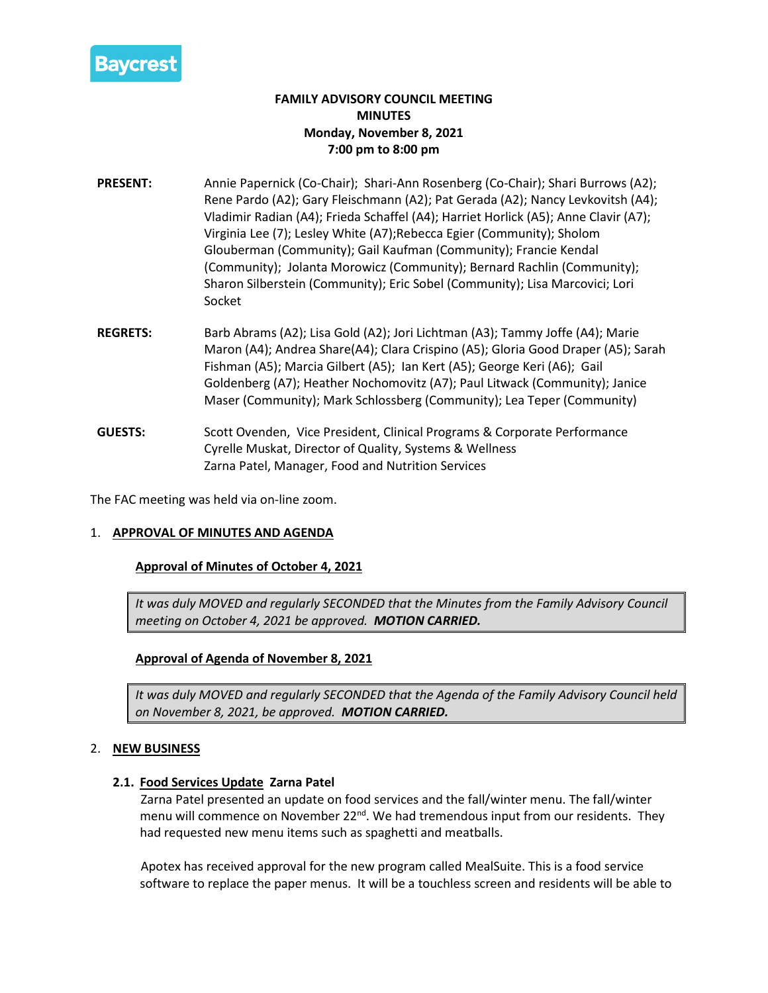

# **FAMILY ADVISORY COUNCIL MEETING MINUTES Monday, November 8, 2021 7:00 pm to 8:00 pm**

- **PRESENT:** Annie Papernick (Co-Chair); Shari-Ann Rosenberg (Co-Chair); Shari Burrows (A2); Rene Pardo (A2); Gary Fleischmann (A2); Pat Gerada (A2); Nancy Levkovitsh (A4); Vladimir Radian (A4); Frieda Schaffel (A4); Harriet Horlick (A5); Anne Clavir (A7); Virginia Lee (7); Lesley White (A7);Rebecca Egier (Community); Sholom Glouberman (Community); Gail Kaufman (Community); Francie Kendal (Community); Jolanta Morowicz (Community); Bernard Rachlin (Community); Sharon Silberstein (Community); Eric Sobel (Community); Lisa Marcovici; Lori Socket
- **REGRETS:** Barb Abrams (A2); Lisa Gold (A2); Jori Lichtman (A3); Tammy Joffe (A4); Marie Maron (A4); Andrea Share(A4); Clara Crispino (A5); Gloria Good Draper (A5); Sarah Fishman (A5); Marcia Gilbert (A5); Ian Kert (A5); George Keri (A6); Gail Goldenberg (A7); Heather Nochomovitz (A7); Paul Litwack (Community); Janice Maser (Community); Mark Schlossberg (Community); Lea Teper (Community)
- **GUESTS:** Scott Ovenden, Vice President, Clinical Programs & Corporate Performance Cyrelle Muskat, Director of Quality, Systems & Wellness Zarna Patel, Manager, Food and Nutrition Services

The FAC meeting was held via on-line zoom.

## 1. **APPROVAL OF MINUTES AND AGENDA**

## **Approval of Minutes of October 4, 2021**

*It was duly MOVED and regularly SECONDED that the Minutes from the Family Advisory Council meeting on October 4, 2021 be approved. MOTION CARRIED.*

## **Approval of Agenda of November 8, 2021**

*It was duly MOVED and regularly SECONDED that the Agenda of the Family Advisory Council held on November 8, 2021, be approved. MOTION CARRIED.*

#### 2. **NEW BUSINESS**

#### **2.1. Food Services Update Zarna Patel**

Zarna Patel presented an update on food services and the fall/winter menu. The fall/winter menu will commence on November 22<sup>nd</sup>. We had tremendous input from our residents. They had requested new menu items such as spaghetti and meatballs.

Apotex has received approval for the new program called MealSuite. This is a food service software to replace the paper menus. It will be a touchless screen and residents will be able to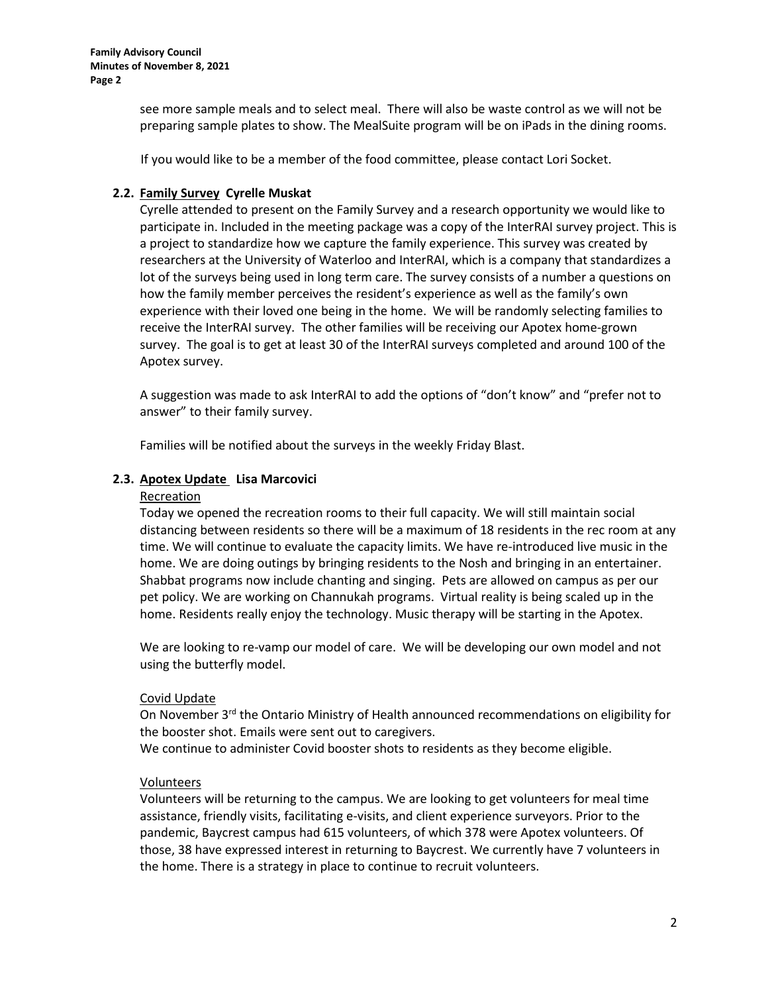**Family Advisory Council Minutes of November 8, 2021 Page 2**

> see more sample meals and to select meal. There will also be waste control as we will not be preparing sample plates to show. The MealSuite program will be on iPads in the dining rooms.

If you would like to be a member of the food committee, please contact Lori Socket.

# **2.2. Family Survey Cyrelle Muskat**

Cyrelle attended to present on the Family Survey and a research opportunity we would like to participate in. Included in the meeting package was a copy of the InterRAI survey project. This is a project to standardize how we capture the family experience. This survey was created by researchers at the University of Waterloo and InterRAI, which is a company that standardizes a lot of the surveys being used in long term care. The survey consists of a number a questions on how the family member perceives the resident's experience as well as the family's own experience with their loved one being in the home. We will be randomly selecting families to receive the InterRAI survey. The other families will be receiving our Apotex home-grown survey. The goal is to get at least 30 of the InterRAI surveys completed and around 100 of the Apotex survey.

A suggestion was made to ask InterRAI to add the options of "don't know" and "prefer not to answer" to their family survey.

Families will be notified about the surveys in the weekly Friday Blast.

## **2.3. Apotex Update Lisa Marcovici**

#### Recreation

Today we opened the recreation rooms to their full capacity. We will still maintain social distancing between residents so there will be a maximum of 18 residents in the rec room at any time. We will continue to evaluate the capacity limits. We have re-introduced live music in the home. We are doing outings by bringing residents to the Nosh and bringing in an entertainer. Shabbat programs now include chanting and singing. Pets are allowed on campus as per our pet policy. We are working on Channukah programs. Virtual reality is being scaled up in the home. Residents really enjoy the technology. Music therapy will be starting in the Apotex.

We are looking to re-vamp our model of care. We will be developing our own model and not using the butterfly model.

## Covid Update

On November 3<sup>rd</sup> the Ontario Ministry of Health announced recommendations on eligibility for the booster shot. Emails were sent out to caregivers.

We continue to administer Covid booster shots to residents as they become eligible.

## Volunteers

Volunteers will be returning to the campus. We are looking to get volunteers for meal time assistance, friendly visits, facilitating e-visits, and client experience surveyors. Prior to the pandemic, Baycrest campus had 615 volunteers, of which 378 were Apotex volunteers. Of those, 38 have expressed interest in returning to Baycrest. We currently have 7 volunteers in the home. There is a strategy in place to continue to recruit volunteers.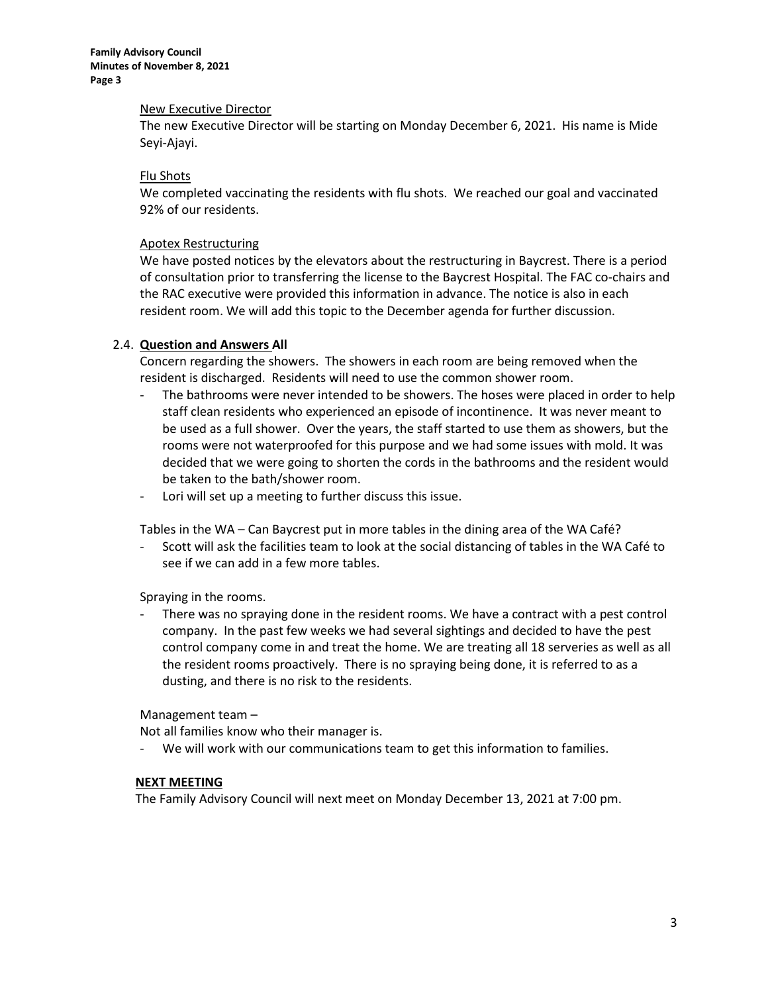**Family Advisory Council Minutes of November 8, 2021 Page 3**

#### New Executive Director

The new Executive Director will be starting on Monday December 6, 2021. His name is Mide Seyi-Ajayi.

#### Flu Shots

We completed vaccinating the residents with flu shots. We reached our goal and vaccinated 92% of our residents.

#### Apotex Restructuring

We have posted notices by the elevators about the restructuring in Baycrest. There is a period of consultation prior to transferring the license to the Baycrest Hospital. The FAC co-chairs and the RAC executive were provided this information in advance. The notice is also in each resident room. We will add this topic to the December agenda for further discussion.

#### 2.4. **Question and Answers All**

Concern regarding the showers. The showers in each room are being removed when the resident is discharged. Residents will need to use the common shower room.

- The bathrooms were never intended to be showers. The hoses were placed in order to help staff clean residents who experienced an episode of incontinence. It was never meant to be used as a full shower. Over the years, the staff started to use them as showers, but the rooms were not waterproofed for this purpose and we had some issues with mold. It was decided that we were going to shorten the cords in the bathrooms and the resident would be taken to the bath/shower room.
- Lori will set up a meeting to further discuss this issue.

Tables in the WA – Can Baycrest put in more tables in the dining area of the WA Café?

- Scott will ask the facilities team to look at the social distancing of tables in the WA Café to see if we can add in a few more tables.

Spraying in the rooms.

There was no spraying done in the resident rooms. We have a contract with a pest control company. In the past few weeks we had several sightings and decided to have the pest control company come in and treat the home. We are treating all 18 serveries as well as all the resident rooms proactively. There is no spraying being done, it is referred to as a dusting, and there is no risk to the residents.

Management team –

Not all families know who their manager is.

- We will work with our communications team to get this information to families.

#### **NEXT MEETING**

The Family Advisory Council will next meet on Monday December 13, 2021 at 7:00 pm.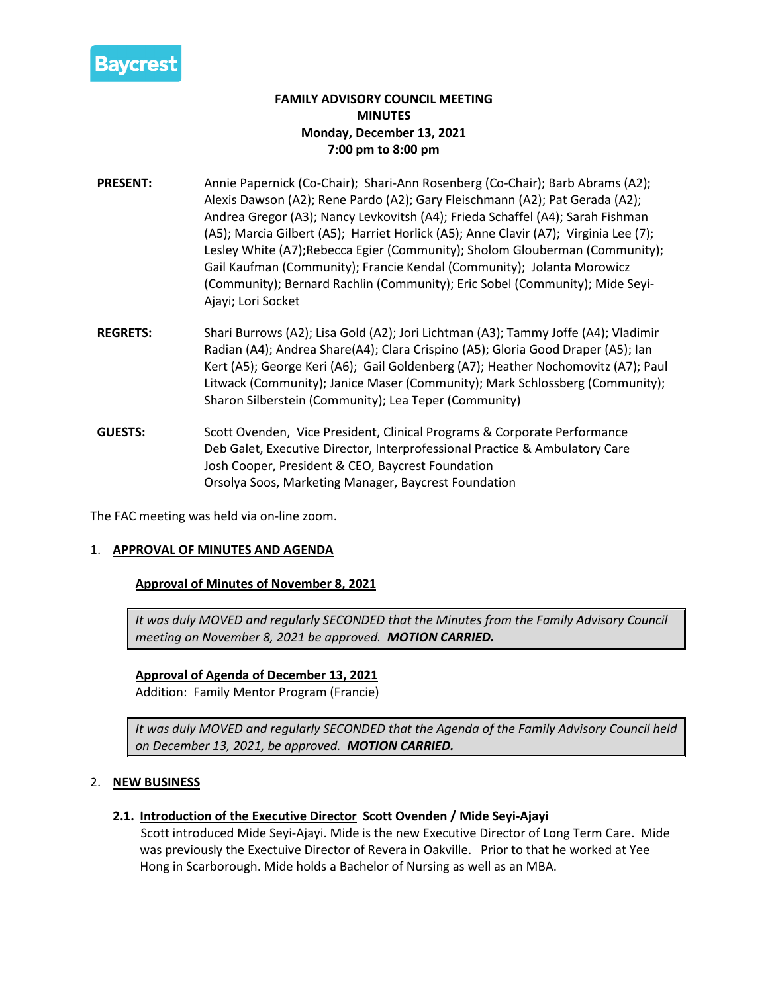

# **FAMILY ADVISORY COUNCIL MEETING MINUTES Monday, December 13, 2021 7:00 pm to 8:00 pm**

- **PRESENT:** Annie Papernick (Co-Chair); Shari-Ann Rosenberg (Co-Chair); Barb Abrams (A2); Alexis Dawson (A2); Rene Pardo (A2); Gary Fleischmann (A2); Pat Gerada (A2); Andrea Gregor (A3); Nancy Levkovitsh (A4); Frieda Schaffel (A4); Sarah Fishman (A5); Marcia Gilbert (A5); Harriet Horlick (A5); Anne Clavir (A7); Virginia Lee (7); Lesley White (A7);Rebecca Egier (Community); Sholom Glouberman (Community); Gail Kaufman (Community); Francie Kendal (Community); Jolanta Morowicz (Community); Bernard Rachlin (Community); Eric Sobel (Community); Mide Seyi-Ajayi; Lori Socket
- **REGRETS:** Shari Burrows (A2); Lisa Gold (A2); Jori Lichtman (A3); Tammy Joffe (A4); Vladimir Radian (A4); Andrea Share(A4); Clara Crispino (A5); Gloria Good Draper (A5); Ian Kert (A5); George Keri (A6); Gail Goldenberg (A7); Heather Nochomovitz (A7); Paul Litwack (Community); Janice Maser (Community); Mark Schlossberg (Community); Sharon Silberstein (Community); Lea Teper (Community)
- **GUESTS:** Scott Ovenden, Vice President, Clinical Programs & Corporate Performance Deb Galet, Executive Director, Interprofessional Practice & Ambulatory Care Josh Cooper, President & CEO, Baycrest Foundation Orsolya Soos, Marketing Manager, Baycrest Foundation

The FAC meeting was held via on-line zoom.

#### 1. **APPROVAL OF MINUTES AND AGENDA**

## **Approval of Minutes of November 8, 2021**

*It was duly MOVED and regularly SECONDED that the Minutes from the Family Advisory Council meeting on November 8, 2021 be approved. MOTION CARRIED.*

## **Approval of Agenda of December 13, 2021**

Addition: Family Mentor Program (Francie)

*It was duly MOVED and regularly SECONDED that the Agenda of the Family Advisory Council held on December 13, 2021, be approved. MOTION CARRIED.*

#### 2. **NEW BUSINESS**

#### **2.1. Introduction of the Executive Director Scott Ovenden / Mide Seyi-Ajayi**

Scott introduced Mide Seyi-Ajayi. Mide is the new Executive Director of Long Term Care. Mide was previously the Exectuive Director of Revera in Oakville. Prior to that he worked at Yee Hong in Scarborough. Mide holds a Bachelor of Nursing as well as an MBA.